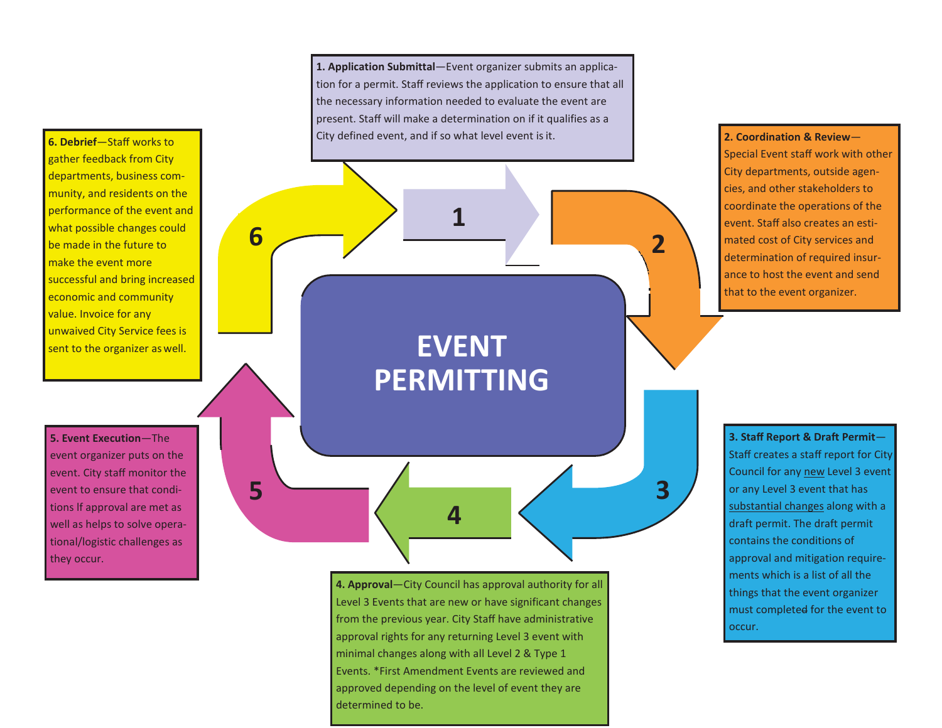**6. Debrief**—Staff works to gather feedback from City departments, business community, and residents on the performance of the event and what possible changes could be made in the future to make the event more successful and bring increased economic and community value. Invoice for any unwaived City Service fees is sent to the organizer as well.

**5. Event Execution**—The event organizer puts on the event. City staff monitor the event to ensure that conditions lf approval are met as well as helps to solve operational/logistic challenges as they occur.

**5**

**1. Application Submittal**—Event organizer submits an application for a permit. Staff reviews the application to ensure that all the necessary information needed to evaluate the event are present. Staff will make a determination on if it qualifies as a City defined event, and if so what level event is it.

> **EVENT PERMITTING**

> > **4**

**6 2 2 2** 

**1**

**4. Approval**—City Council has approval authority for all Level 3 Events that are new or have significant changes from the previous year. City Staff have administrative approval rights for any returning Level 3 event with minimal changes along with all Level 2 & Type 1 Events. \*First Amendment Events are reviewed and approved depending on the level of event they are determined to be.

**2. Coordination & Review**— Special Event staff work with other City departments, outside agencies, and other stakeholders to coordinate the operations of the event. Staff also creates an estimated cost of City services and determination of required insurance to host the event and send that to the event organizer.

**3. Staff Report & Draft Permit**— Staff creates a staff report for City Council for any new Level 3 event or any Level 3 event that has substantial changes along with a draft permit. The draft permit contains the conditions of approval and mitigation requirements which is a list of all the things that the event organizer must completed for the event to occur.

**3**